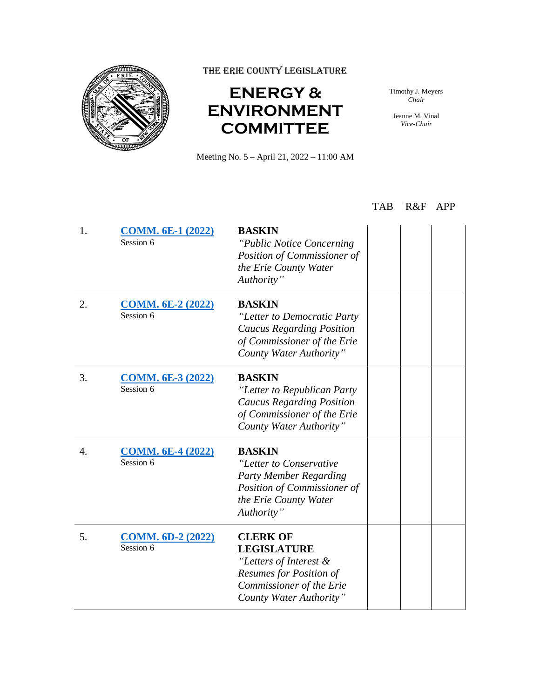

THE ERIE COUNTY LEGISLATURE

## **ENERGY & ENVIRONMENT COMMITTEE**

Meeting No. 5 – April 21, 2022 – 11:00 AM

Timothy J. Meyers *Chair*

Jeanne M. Vinal *Vice-Chair*

## TAB R&F APP

| 1. | <b>COMM. 6E-1 (2022)</b><br>Session 6 | <b>BASKIN</b><br>"Public Notice Concerning"<br>Position of Commissioner of<br>the Erie County Water<br>Authority"                                        |  |
|----|---------------------------------------|----------------------------------------------------------------------------------------------------------------------------------------------------------|--|
| 2. | <b>COMM. 6E-2 (2022)</b><br>Session 6 | <b>BASKIN</b><br>"Letter to Democratic Party<br><b>Caucus Regarding Position</b><br>of Commissioner of the Erie<br>County Water Authority"               |  |
| 3. | <b>COMM. 6E-3 (2022)</b><br>Session 6 | <b>BASKIN</b><br>"Letter to Republican Party<br><b>Caucus Regarding Position</b><br>of Commissioner of the Erie<br>County Water Authority"               |  |
| 4. | <b>COMM. 6E-4 (2022)</b><br>Session 6 | <b>BASKIN</b><br>"Letter to Conservative<br><b>Party Member Regarding</b><br>Position of Commissioner of<br>the Erie County Water<br>Authority"          |  |
| 5. | <b>COMM. 6D-2 (2022)</b><br>Session 6 | <b>CLERK OF</b><br><b>LEGISLATURE</b><br>"Letters of Interest &<br><b>Resumes for Position of</b><br>Commissioner of the Erie<br>County Water Authority" |  |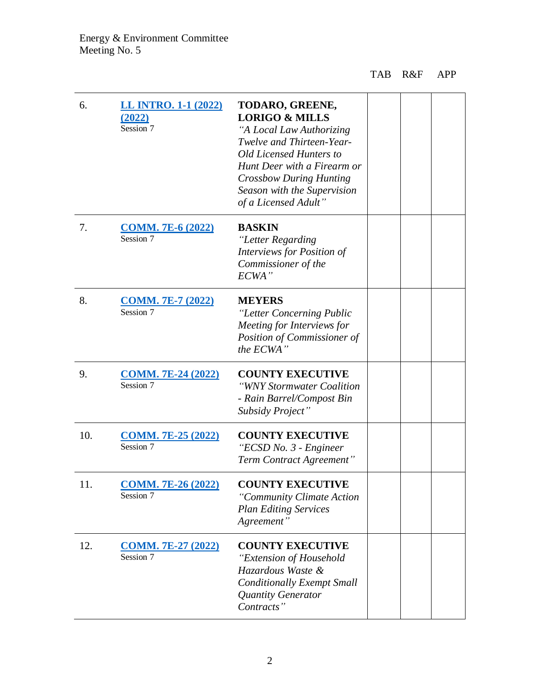| 6.  | LL INTRO. 1-1 (2022)<br>(2022)<br>Session 7 | TODARO, GREENE,<br><b>LORIGO &amp; MILLS</b><br>"A Local Law Authorizing<br>Twelve and Thirteen-Year-<br>Old Licensed Hunters to<br>Hunt Deer with a Firearm or<br><b>Crossbow During Hunting</b><br>Season with the Supervision<br>of a Licensed Adult" |  |  |
|-----|---------------------------------------------|----------------------------------------------------------------------------------------------------------------------------------------------------------------------------------------------------------------------------------------------------------|--|--|
| 7.  | <b>COMM. 7E-6 (2022)</b><br>Session 7       | <b>BASKIN</b><br>"Letter Regarding<br>Interviews for Position of<br>Commissioner of the<br>ECWA"                                                                                                                                                         |  |  |
| 8.  | <b>COMM. 7E-7 (2022)</b><br>Session 7       | <b>MEYERS</b><br>"Letter Concerning Public<br>Meeting for Interviews for<br>Position of Commissioner of<br>the ECWA"                                                                                                                                     |  |  |
| 9.  | <b>COMM. 7E-24 (2022)</b><br>Session 7      | <b>COUNTY EXECUTIVE</b><br>"WNY Stormwater Coalition<br>- Rain Barrel/Compost Bin<br>Subsidy Project"                                                                                                                                                    |  |  |
| 10. | <b>COMM. 7E-25 (2022)</b><br>Session 7      | <b>COUNTY EXECUTIVE</b><br>"ECSD No. 3 - Engineer<br>Term Contract Agreement"                                                                                                                                                                            |  |  |
| 11. | <b>COMM. 7E-26 (2022)</b><br>Session 7      | <b>COUNTY EXECUTIVE</b><br>"Community Climate Action<br><b>Plan Editing Services</b><br>Agreement"                                                                                                                                                       |  |  |
| 12. | <b>COMM. 7E-27 (2022)</b><br>Session 7      | <b>COUNTY EXECUTIVE</b><br>"Extension of Household<br>Hazardous Waste &<br><b>Conditionally Exempt Small</b><br>Quantity Generator<br>Contracts"                                                                                                         |  |  |